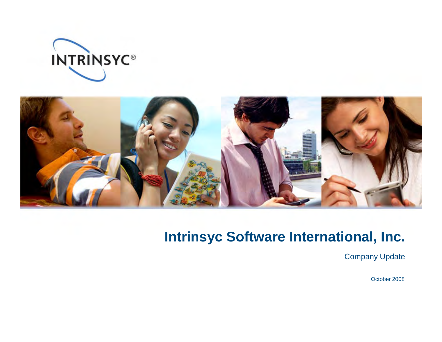



# **Intrinsyc Software International Inc International, Inc.**

Company Update

October 2008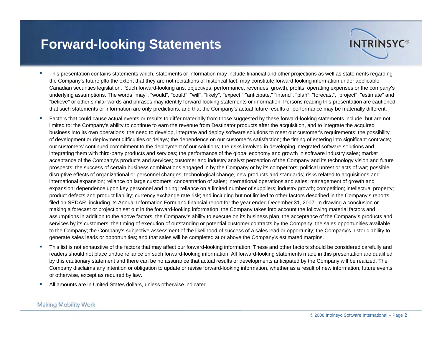#### **Forward-looking Statements**



- П This presentation contains statements which, statements or information may include financial and other projections as well as statements regarding the Company's future plto the extent that they are not recitations of historical fact, may constitute forward-looking information under applicable Canadian securities legislation. Such forward-looking ans, objectives, performance, revenues, growth, profits, operating expenses or the company's underlying assumptions. The words "may", "would", "could", "will", "likely", "expect," "anticipate," "intend", "plan", "forecast", "project", "estimate" and "believe" or other similar words and phrases may identify forward-looking statements or information. Persons reading this presentation are cautioned that such statements or information are only predictions, and that the Company's actual future results or performance may be materially different.
- П Factors that could cause actual events or results to differ materially from those suggested by these forward-looking statements include, but are not limited to: the Company's ability to continue to earn the revenue from Destinator products after the acquisition, and to integrate the acquired business into its own operations; the need to develop, integrate and deploy software solutions to meet our customer's requirements; the possibility of development or deployment difficulties or delays; the dependence on our customer's satisfaction; the timing of entering into significant contracts; our customers' continued commitment to the deployment of our solutions; the risks involved in developing integrated software solutions and integrating them with third-party products and services; the performance of the global economy and growth in software industry sales; market acceptance of the Company's products and services; customer and industry analyst perception of the Company and its technology vision and future prospects; the success of certain business combinations engaged in by the Company or by its competitors; political unrest or acts of war; possible disruptive effects of organizational or personnel changes; technological change, new products and standards; risks related to acquisitions and international expansion; reliance on large customers; concentration of sales; international operations and sales; management of growth and expansion; dependence upon key personnel and hiring; reliance on a limited number of suppliers; industry growth; competition; intellectual property; product defects and product liability; currency exchange rate risk; and including but not limited to other factors described in the Company's reports filed on SEDAR, including its Annual Information Form and financial report for the year ended December 31, 2007. In drawing a conclusion or making a forecast or projection set out in the forward-looking information, the Company takes into account the following material factors and assumptions in addition to the above factors: the Company's ability to execute on its business plan; the acceptance of the Company's products and services by its customers; the timing of execution of outstanding or potential customer contracts by the Company; the sales opportunities available to the Company; the Company's subjective assessment of the likelihood of success of a sales lead or opportunity; the Company's historic ability to generate sales leads or opportunities; and that sales will be completed at or above the Company's estimated margins.
- П This list is not exhaustive of the factors that may affect our forward-looking information. These and other factors should be considered carefully and readers should not place undue reliance on such forward-looking information. All forward-looking statements made in this presentation are qualified by this cautionary statement and there can be no assurance that actual results or developments anticipated by the Company will be realized. The Company disclaims any intention or obligation to update or revise forward-looking information, whether as a result of new information, future events or otherwise, except as required by law.
- $\blacksquare$ All amounts are in United States dollars, unless otherwise indicated.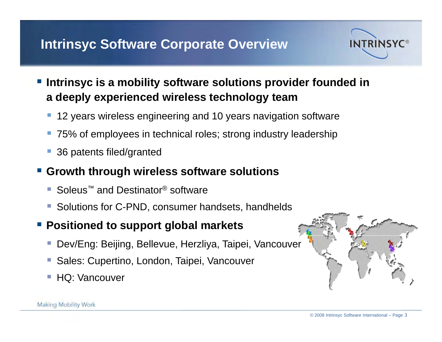#### **Intrinsyc Software Corporate Overview**

- **INTRINS**
- **Intrinsyc is a mobility software solutions provider founded in a deeply experienced wireless technology team**
	- F 12 years wireless engineering and 10 years navigation software
	- h. 75% of employees in technical roles; strong industry leadership
	- F  $\blacksquare$  36 patents filed/granted
- **Growth through wireless software solutions**
	- Soleus™ and Destinator<sup>®</sup> software
	- П Solutions for C-PND, consumer handsets, handhelds
- **Positioned to support global markets**
	- П Dev/Eng: Beijing, Bellevue, Herzliya, Taipei, Vancouver
	- h. Sales: Cupertino, London, Taipei, Vancouver
	- $\mathcal{L}_{\mathcal{A}}$ HQ: Vancouver

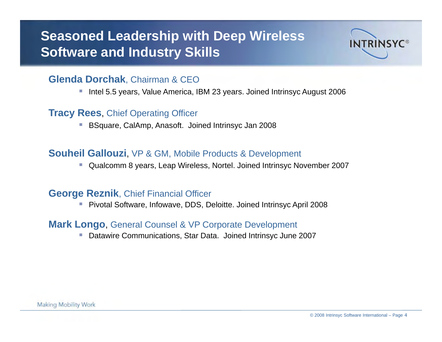## **Seasoned Leadership with Deep Wireless Software and Industry Skills**



L. Intel 5.5 years, Value America, IBM 23 years. Joined Intrinsyc August 2006

#### **Tracy Rees**, Chief Operating Officer

BSquare, CalAmp, Anasoft. Joined Intrinsyc Jan 2008

#### **Souheil Gallouzi**, VP & GM, Mobile Products & Development

I. Qualcomm 8 years, Leap Wireless, Nortel. Joined Intrinsyc November 2007

#### **George Reznik, Chief Financial Officer**

■ Pivotal Software, Infowave, DDS, Deloitte. Joined Intrinsyc April 2008

#### **Mark Longo**, General Counsel & VP Corporate Development

Datawire Communications, Star Data. Joined Intrinsyc June 2007

**INTRINSYC®**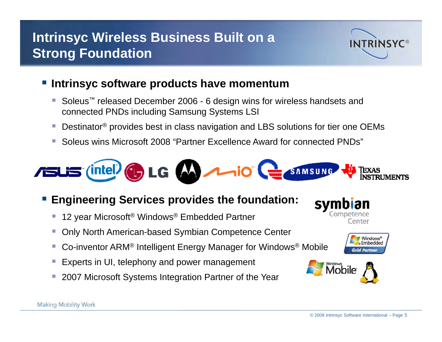# **Intrinsyc Wireless Business Built on a Strong Foundation**



#### **Intrinsyc software products have momentum**

- Soleus ™ released December 2006 - 6 design wins for wireless handsets and connected PNDs including Samsung Systems LSI
- Τ Destinator® provides best in class navigation and LBS solutions for tier one OEMs
- Soleus wins Microsoft 2008 "Partner Excellence Award for connected PNDs"



#### **Engineering Services provides the foundation:**

- 12 year Microsoft<sup>®</sup> Windows<sup>®</sup> Embedded Partner
- $\mathcal{L}_{\mathcal{A}}$ ■ Only North American-based Symbian Competence Center
- τ ■ Co-inventor ARM<sup>®</sup> Intelligent Energy Manager for Windows<sup>®</sup> Mobile
- τ Experts in UI, telephony and power management
- Τ ■ 2007 Microsoft Systems Integration Partner of the Year



`enter

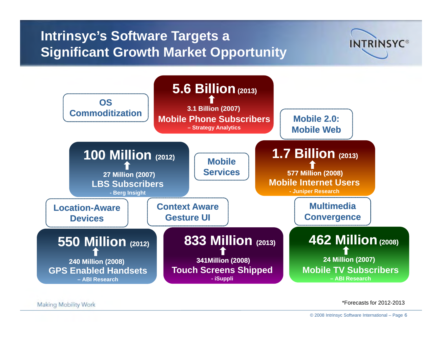# **Intrinsyc's Software Targets a Significant Growth Market Opportunity**





Making Mobility Work

\*Forecasts for 2012-2013

© 2008 Intrinsyc Software International – Page 6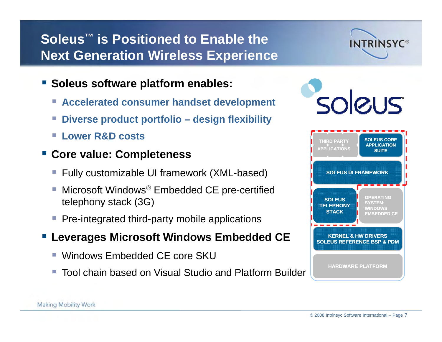### **Soleus™ is Positioned to Enable the Next Generation Wireless Experience**

**INTRINSYC®** 

- **Soleus software platform enables:**
	- **Accelerated consumer handset development**
	- h. **Diverse product portfolio – design flexibility**
	- **Lower R&D costs**
- Core value: Completeness and the contract of the contract of the contract of the contract of the contract of the contract of the contract of the contract of the contract of the contract of the contract of the contract o
	- П Fully customizable UI framework (XML-based)
	- h. ■ Microsoft Windows<sup>®</sup> Embedded CE pre-certified<br>telephony stack (3G)
	- П Pre-integrated third-party mobile applications

#### **Research 2 and <b>EMBED 25 and 20 and 20 and 20 and 20 and 20 and 20 and 20 and 20 and 20 and 20 and 20 and 20 and 20 and 20 and 20 and 20 and 20 and 20 and 20 and 20 and 20 and 20 and 20 and 20 and 20 and 20 and 20 and 20**

- Windows Embedded CE core SKU
- П Tool chain based on Visual Studio and Platform Builder



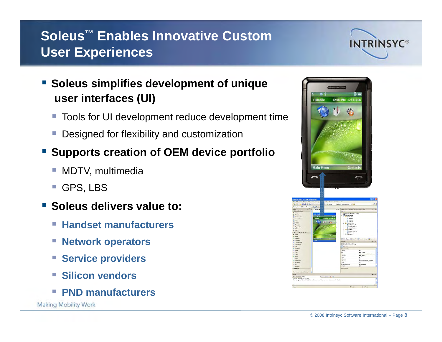# **Soleus™ Enables Innovative Custom User Experiences**

**INTRINSYC®** 

- **Soleus simplifies development of unique user interfaces (UI)**
	- Tools for UI development reduce development time
	- П Designed for flexibility and customization

#### **S t ti f OEM d i tf li Supports creation of device portfolio**

- h. MDTV, multimedia
- П GPS, LBS
- **Soleus delivers value to:** 
	- П **Handset manufacturers**
	- h. **Network operators**
	- П **Service providers**
	- П **Silicon vendors**
	- h. **PND manufacturers**



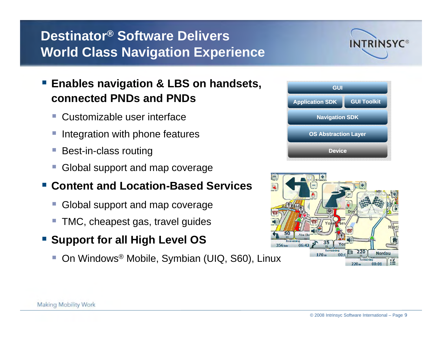# **Destinator® Software Delivers World Class Navigation Experience**

- **Enables navigation & LBS on handsets, connected PNDs and PNDs**
	- Customizable user interface
	- **Integration with phone features**
	- h. ■ Best-in-class routing <sup>pevi</sup>
	- П Global support and map coverage
- **Content and Location-Based Services**
	- П Global support and map coverage
	- **TMC, cheapest gas, travel guides**
- **E** Support for all High Level OS
	- On Windows<sup>®</sup> Mobile, Symbian (UIQ, S60), Linux



**INTRINSYC®** 

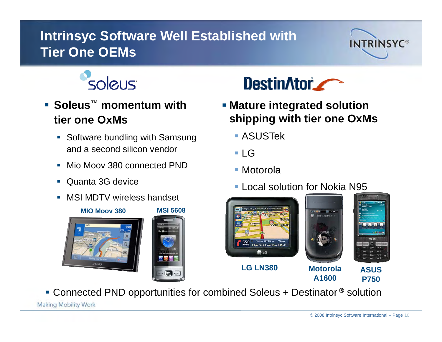## **Intrinsyc Software Well Established with Tier One OEMs**





- **Soleus™ momentum withtier one OxMs**
	- **Software bundling with Samsung** and a second silicon vendor
	- $\overline{\mathbb{R}}$ Mio Moov 380 connected PND
	- $\mathcal{L}_{\rm{eff}}$ Quanta 3G device
	- MSI MDTV wireless handset





# **DestinAtor**

- **Mature integrated solution shipping with tier one OxMs**
	- ASUSTek
	- LG
	- Motorola
	- Local solution for Nokia N95



 Connected PND opportunities for combined Soleus + Destinator **®** solutionMaking Mobility Work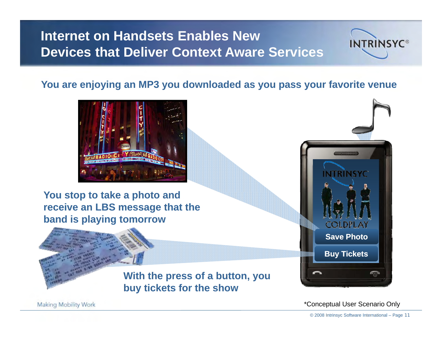### **Internet on Handsets Enables NewDevices that Deliver Context Aware Services**





You stop to take a photo and **receive an LBS message that the band is playing tomorrow**



**With the press of <sup>a</sup> button, you buy tickets for the show**



**INTRINSYC®** 

\*Conceptual User Scenario Only

© 2008 Intrinsyc Software International – Page 11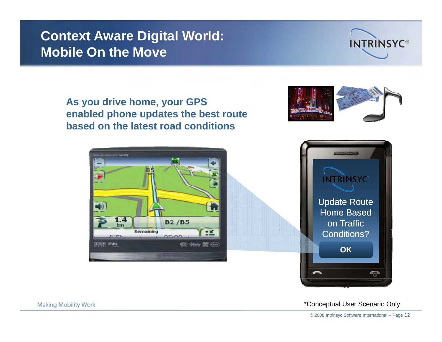### **Context Aware Digital World: Mobile On the Move**



**As y , ou drive home,your GPS enabled phone updates the best route based on the latest road conditions**







\*Conceptual User Scenario Only

© 2008 Intrinsyc Software International – Page 12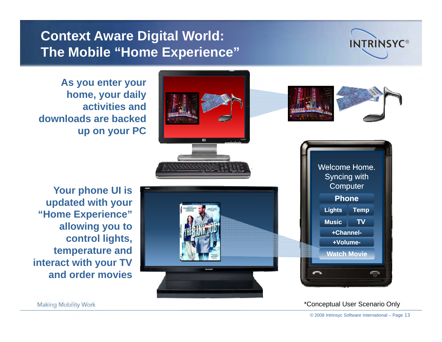### **Context Aware Digital World: The Mobile "Home Experience"**



**As you enter your home, your daily activities anddownloads are backed up on your PC**





\*Conceptual User Scenario Only

© 2008 Intrinsyc Software International – Page 13

**updated with your "Home Experience" allowing you to trol ghts, interact with your TV and order movies**

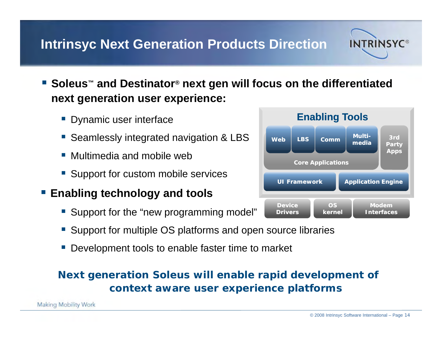#### **Intrinsyc Next Generation Products Direction**

- **Soleus ™ and Destinator ® next gen will focus on the differentiated next generation user experience:**
	-
	- p. Seamlessly integrated navigation & LBS
	- h. Multimedia and mobile web
	- p. Support for custom mobile services

#### **Enabling technology and tools**

- p. Support for the "new programming model"
- p. ■ Support for multiple OS platforms and open source libraries
- p. Development tools to enable faster time to market

#### **Next generation Soleus will enable rapid development of context aware user experience platforms**



**INTRINSYC®**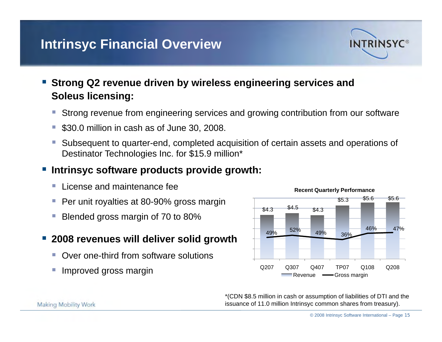#### **Intrinsyc Financial Overview**

- **Strong Q2 revenue driven by wireless engineering services and Soleus licensing:**
	- τ Strong revenue from engineering services and growing contribution from our software
	- \$30.0 million in cash as of June 30, 2008.
	- τ Subsequent to quarter-end, completed acquisition of certain assets and operations of Destinator Technologies Inc. for \$15.9 million\*

#### **Intrinsyc software products provide growth:**

- $\mathcal{L}_{\mathcal{A}}$ License and maintenance fee
- τ Per unit royalties at 80-90% gross margin
- τ Blended gross margin of 70 to 80%

#### $\blacksquare$  **2008 revenues will deliver solid growth**

- τ Over one-third from software solutions
- τ Improved gross margin



\*(CDN \$8.5 million in cash or assumption of liabilities of DTI and the issuance of 11.0 million Intrinsyc common shares from treasury).

Making Mobility Work

**INTRINSYC®**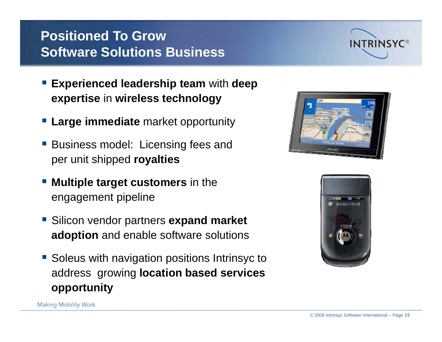### **Positioned To Grow Software Solutions Business**

- **Experienced leadership team** with **deep expertise** in **wireless technology**
- **Large immediate** market opportunity
- Business model: Licensing fees and per unit shipped **royalties**
- **Multiple target customers** in the engagement pipeline
- **Silicon vendor partners expand market adoption** and enable software solutions
- Soleus with navigation positions Intrinsyc to address growing **location based services opportunity**



**INTRINSYC®**